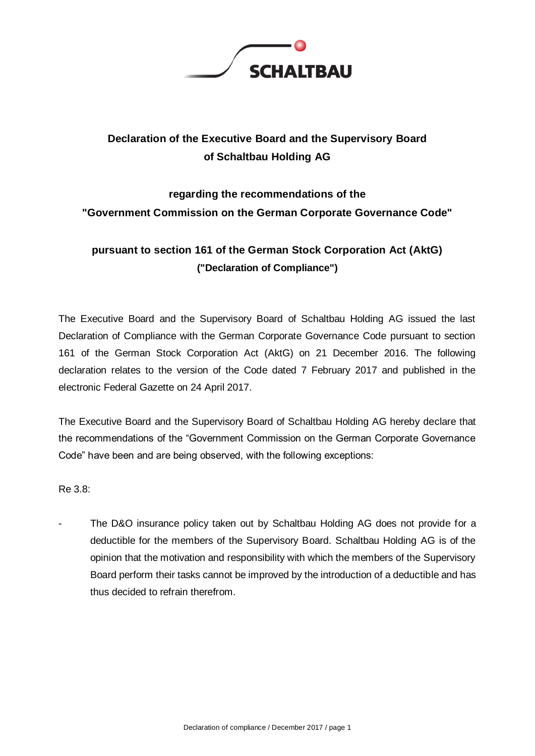

## **Declaration of the Executive Board and the Supervisory Board of Schaltbau Holding AG**

# **regarding the recommendations of the "Government Commission on the German Corporate Governance Code"**

### **pursuant to section 161 of the German Stock Corporation Act (AktG) ("Declaration of Compliance")**

The Executive Board and the Supervisory Board of Schaltbau Holding AG issued the last Declaration of Compliance with the German Corporate Governance Code pursuant to section 161 of the German Stock Corporation Act (AktG) on 21 December 2016. The following declaration relates to the version of the Code dated 7 February 2017 and published in the electronic Federal Gazette on 24 April 2017.

The Executive Board and the Supervisory Board of Schaltbau Holding AG hereby declare that the recommendations of the "Government Commission on the German Corporate Governance Code" have been and are being observed, with the following exceptions:

Re 3.8:

The D&O insurance policy taken out by Schaltbau Holding AG does not provide for a deductible for the members of the Supervisory Board. Schaltbau Holding AG is of the opinion that the motivation and responsibility with which the members of the Supervisory Board perform their tasks cannot be improved by the introduction of a deductible and has thus decided to refrain therefrom.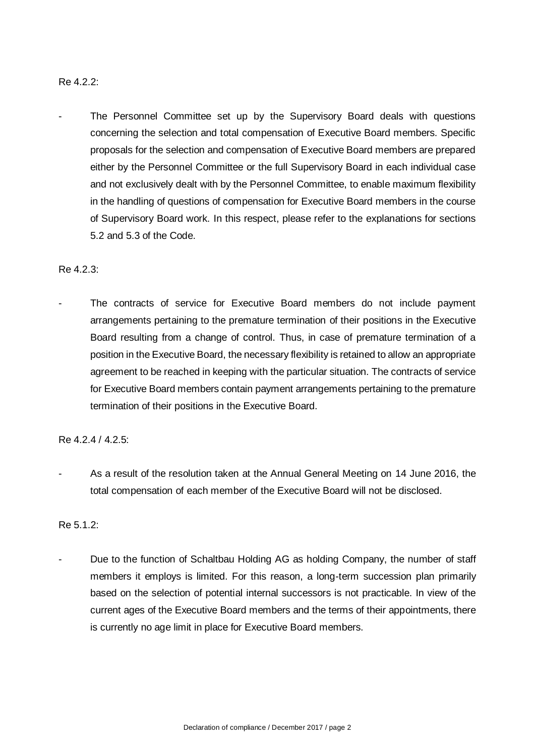#### Re 4.2.2:

The Personnel Committee set up by the Supervisory Board deals with questions concerning the selection and total compensation of Executive Board members. Specific proposals for the selection and compensation of Executive Board members are prepared either by the Personnel Committee or the full Supervisory Board in each individual case and not exclusively dealt with by the Personnel Committee, to enable maximum flexibility in the handling of questions of compensation for Executive Board members in the course of Supervisory Board work. In this respect, please refer to the explanations for sections 5.2 and 5.3 of the Code.

#### Re 4.2.3:

The contracts of service for Executive Board members do not include payment arrangements pertaining to the premature termination of their positions in the Executive Board resulting from a change of control. Thus, in case of premature termination of a position in the Executive Board, the necessary flexibility is retained to allow an appropriate agreement to be reached in keeping with the particular situation. The contracts of service for Executive Board members contain payment arrangements pertaining to the premature termination of their positions in the Executive Board.

#### Re 4.2.4 / 4.2.5:

As a result of the resolution taken at the Annual General Meeting on 14 June 2016, the total compensation of each member of the Executive Board will not be disclosed.

#### $Re 5.1.2$

Due to the function of Schaltbau Holding AG as holding Company, the number of staff members it employs is limited. For this reason, a long-term succession plan primarily based on the selection of potential internal successors is not practicable. In view of the current ages of the Executive Board members and the terms of their appointments, there is currently no age limit in place for Executive Board members.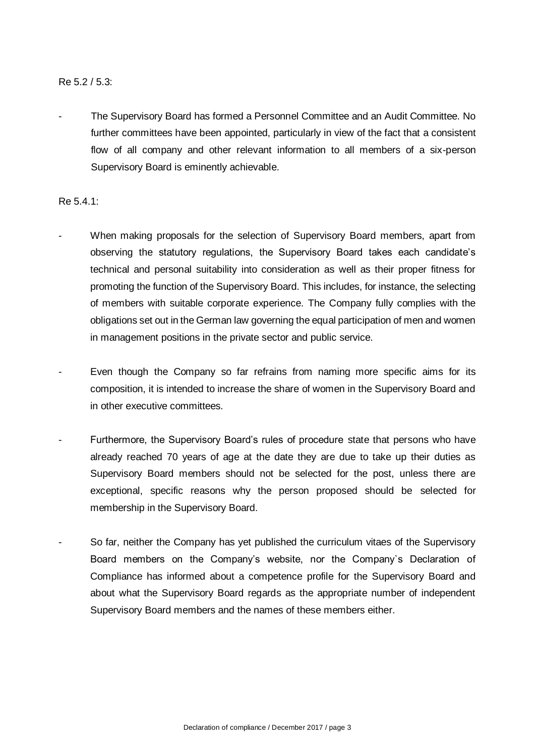#### Re 5.2 / 5.3:

The Supervisory Board has formed a Personnel Committee and an Audit Committee. No further committees have been appointed, particularly in view of the fact that a consistent flow of all company and other relevant information to all members of a six-person Supervisory Board is eminently achievable.

Re 5.4.1:

- When making proposals for the selection of Supervisory Board members, apart from observing the statutory regulations, the Supervisory Board takes each candidate's technical and personal suitability into consideration as well as their proper fitness for promoting the function of the Supervisory Board. This includes, for instance, the selecting of members with suitable corporate experience. The Company fully complies with the obligations set out in the German law governing the equal participation of men and women in management positions in the private sector and public service.
- Even though the Company so far refrains from naming more specific aims for its composition, it is intended to increase the share of women in the Supervisory Board and in other executive committees.
- Furthermore, the Supervisory Board's rules of procedure state that persons who have already reached 70 years of age at the date they are due to take up their duties as Supervisory Board members should not be selected for the post, unless there are exceptional, specific reasons why the person proposed should be selected for membership in the Supervisory Board.
- So far, neither the Company has yet published the curriculum vitaes of the Supervisory Board members on the Company's website, nor the Company`s Declaration of Compliance has informed about a competence profile for the Supervisory Board and about what the Supervisory Board regards as the appropriate number of independent Supervisory Board members and the names of these members either.